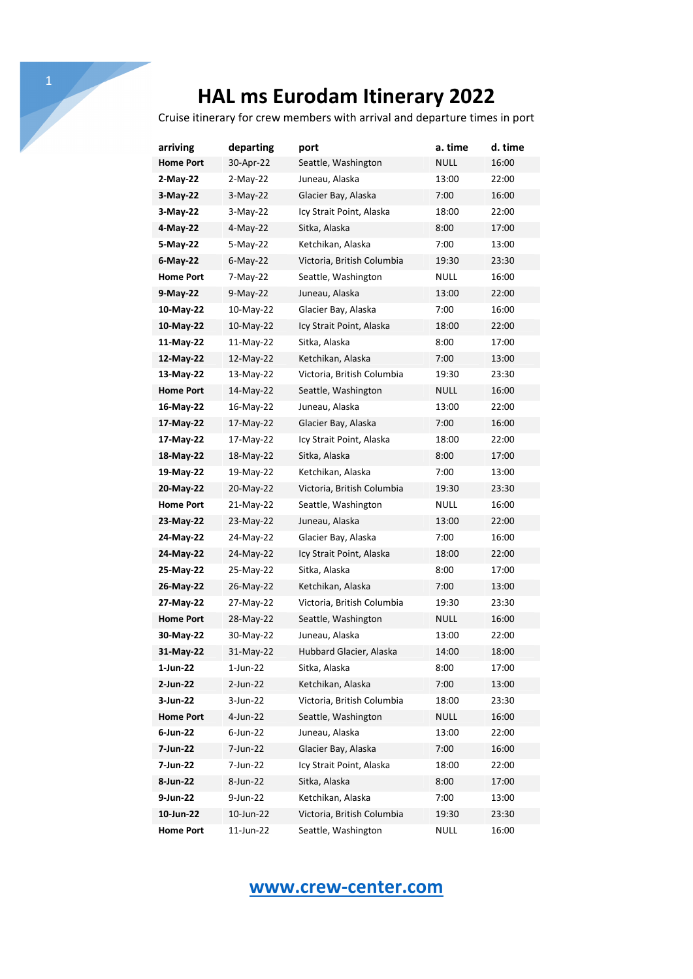Cruise itinerary for crew members with arrival and departure times in port

| arriving         | departing   | port                       | a. time     | d. time |
|------------------|-------------|----------------------------|-------------|---------|
| <b>Home Port</b> | 30-Apr-22   | Seattle, Washington        | <b>NULL</b> | 16:00   |
| 2-May-22         | $2-May-22$  | Juneau, Alaska             | 13:00       | 22:00   |
| 3-May-22         | $3-May-22$  | Glacier Bay, Alaska        | 7:00        | 16:00   |
| 3-May-22         | 3-May-22    | Icy Strait Point, Alaska   | 18:00       | 22:00   |
| 4-May-22         | 4-May-22    | Sitka, Alaska              | 8:00        | 17:00   |
| 5-May-22         | 5-May-22    | Ketchikan, Alaska          | 7:00        | 13:00   |
| 6-May-22         | $6$ -May-22 | Victoria, British Columbia | 19:30       | 23:30   |
| <b>Home Port</b> | 7-May-22    | Seattle, Washington        | NULL        | 16:00   |
| 9-May-22         | $9-Mav-22$  | Juneau, Alaska             | 13:00       | 22:00   |
| 10-May-22        | 10-May-22   | Glacier Bay, Alaska        | 7:00        | 16:00   |
| 10-May-22        | 10-May-22   | Icy Strait Point, Alaska   | 18:00       | 22:00   |
| 11-May-22        | 11-May-22   | Sitka, Alaska              | 8:00        | 17:00   |
| 12-May-22        | 12-May-22   | Ketchikan, Alaska          | 7:00        | 13:00   |
| 13-May-22        | 13-May-22   | Victoria, British Columbia | 19:30       | 23:30   |
| <b>Home Port</b> | 14-May-22   | Seattle, Washington        | NULL        | 16:00   |
| 16-May-22        | 16-May-22   | Juneau, Alaska             | 13:00       | 22:00   |
| 17-May-22        | 17-May-22   | Glacier Bay, Alaska        | 7:00        | 16:00   |
| 17-May-22        | 17-May-22   | Icy Strait Point, Alaska   | 18:00       | 22:00   |
| 18-May-22        | 18-May-22   | Sitka, Alaska              | 8:00        | 17:00   |
| 19-May-22        | 19-May-22   | Ketchikan, Alaska          | 7:00        | 13:00   |
| 20-May-22        | 20-May-22   | Victoria, British Columbia | 19:30       | 23:30   |
| <b>Home Port</b> | 21-May-22   | Seattle, Washington        | <b>NULL</b> | 16:00   |
| 23-May-22        | 23-May-22   | Juneau, Alaska             | 13:00       | 22:00   |
| 24-May-22        | 24-May-22   | Glacier Bay, Alaska        | 7:00        | 16:00   |
| 24-May-22        | 24-May-22   | Icy Strait Point, Alaska   | 18:00       | 22:00   |
| 25-May-22        | 25-May-22   | Sitka, Alaska              | 8:00        | 17:00   |
| 26-May-22        | 26-May-22   | Ketchikan, Alaska          | 7:00        | 13:00   |
| 27-May-22        | 27-May-22   | Victoria, British Columbia | 19:30       | 23:30   |
| <b>Home Port</b> | 28-May-22   | Seattle, Washington        | NULL        | 16:00   |
| 30-May-22        | 30-May-22   | Juneau, Alaska             | 13:00       | 22:00   |
| 31-May-22        | 31-May-22   | Hubbard Glacier, Alaska    | 14:00       | 18:00   |
| 1-Jun-22         | $1$ -Jun-22 | Sitka, Alaska              | 8:00        | 17:00   |
| 2-Jun-22         | $2$ -Jun-22 | Ketchikan, Alaska          | 7:00        | 13:00   |
| 3-Jun-22         | 3-Jun-22    | Victoria, British Columbia | 18:00       | 23:30   |
| <b>Home Port</b> | 4-Jun-22    | Seattle, Washington        | NULL        | 16:00   |
| 6-Jun-22         | $6$ -Jun-22 | Juneau, Alaska             | 13:00       | 22:00   |
| 7-Jun-22         | 7-Jun-22    | Glacier Bay, Alaska        | 7:00        | 16:00   |
| 7-Jun-22         | 7-Jun-22    | Icy Strait Point, Alaska   | 18:00       | 22:00   |
| 8-Jun-22         | 8-Jun-22    | Sitka, Alaska              | 8:00        | 17:00   |
| 9-Jun-22         | 9-Jun-22    | Ketchikan, Alaska          | 7:00        | 13:00   |
| 10-Jun-22        | 10-Jun-22   | Victoria, British Columbia | 19:30       | 23:30   |
| <b>Home Port</b> | 11-Jun-22   | Seattle, Washington        | <b>NULL</b> | 16:00   |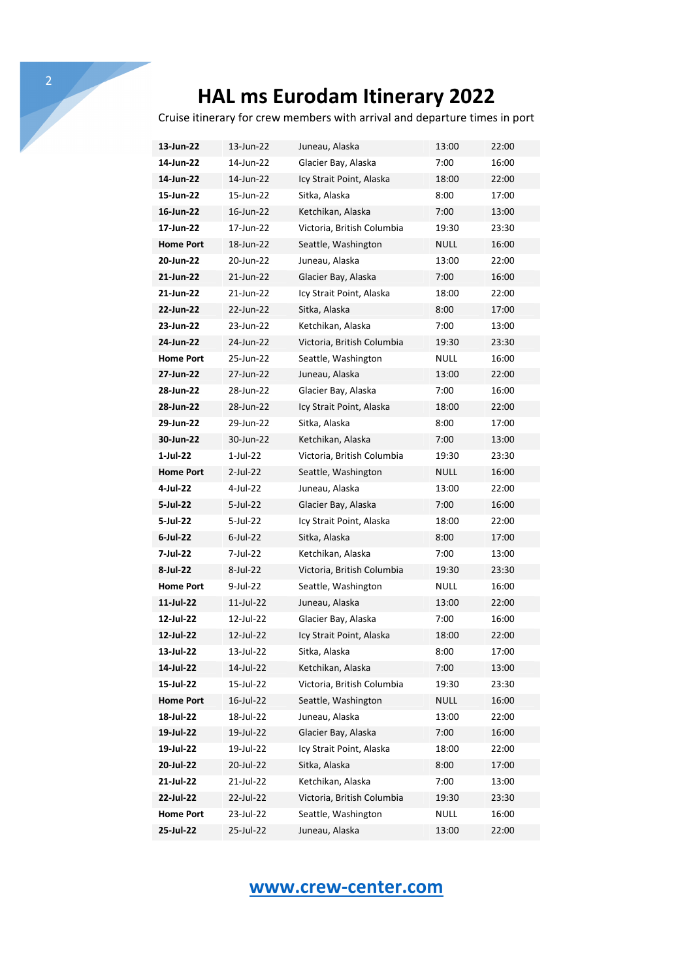Cruise itinerary for crew members with arrival and departure times in port

| 13-Jun-22        | 13-Jun-22   | Juneau, Alaska             | 13:00       | 22:00 |
|------------------|-------------|----------------------------|-------------|-------|
| 14-Jun-22        | 14-Jun-22   | Glacier Bay, Alaska        | 7:00        | 16:00 |
| 14-Jun-22        | 14-Jun-22   | Icy Strait Point, Alaska   | 18:00       | 22:00 |
| 15-Jun-22        | 15-Jun-22   | Sitka, Alaska              | 8:00        | 17:00 |
| 16-Jun-22        | 16-Jun-22   | Ketchikan, Alaska          | 7:00        | 13:00 |
| 17-Jun-22        | 17-Jun-22   | Victoria, British Columbia | 19:30       | 23:30 |
| <b>Home Port</b> | 18-Jun-22   | Seattle, Washington        | NULL        | 16:00 |
| 20-Jun-22        | 20-Jun-22   | Juneau, Alaska             | 13:00       | 22:00 |
| 21-Jun-22        | 21-Jun-22   | Glacier Bay, Alaska        | 7:00        | 16:00 |
| 21-Jun-22        | 21-Jun-22   | Icy Strait Point, Alaska   | 18:00       | 22:00 |
| 22-Jun-22        | 22-Jun-22   | Sitka, Alaska              | 8:00        | 17:00 |
| 23-Jun-22        | 23-Jun-22   | Ketchikan, Alaska          | 7:00        | 13:00 |
| 24-Jun-22        | 24-Jun-22   | Victoria, British Columbia | 19:30       | 23:30 |
| <b>Home Port</b> | 25-Jun-22   | Seattle, Washington        | NULL        | 16:00 |
| 27-Jun-22        | 27-Jun-22   | Juneau, Alaska             | 13:00       | 22:00 |
| 28-Jun-22        | 28-Jun-22   | Glacier Bay, Alaska        | 7:00        | 16:00 |
| 28-Jun-22        | 28-Jun-22   | Icy Strait Point, Alaska   | 18:00       | 22:00 |
| 29-Jun-22        | 29-Jun-22   | Sitka, Alaska              | 8:00        | 17:00 |
| 30-Jun-22        | 30-Jun-22   | Ketchikan, Alaska          | 7:00        | 13:00 |
| $1-Jul-22$       | $1$ -Jul-22 | Victoria, British Columbia | 19:30       | 23:30 |
| <b>Home Port</b> | $2$ -Jul-22 | Seattle, Washington        | NULL        | 16:00 |
| 4-Jul-22         | 4-Jul-22    | Juneau, Alaska             | 13:00       | 22:00 |
| 5-Jul-22         | 5-Jul-22    | Glacier Bay, Alaska        | 7:00        | 16:00 |
| 5-Jul-22         | 5-Jul-22    | Icy Strait Point, Alaska   | 18:00       | 22:00 |
| 6-Jul-22         | $6$ -Jul-22 | Sitka, Alaska              | 8:00        | 17:00 |
| 7-Jul-22         | 7-Jul-22    | Ketchikan, Alaska          | 7:00        | 13:00 |
| 8-Jul-22         | 8-Jul-22    | Victoria, British Columbia | 19:30       | 23:30 |
| <b>Home Port</b> | 9-Jul-22    | Seattle, Washington        | NULL        | 16:00 |
| 11-Jul-22        | 11-Jul-22   | Juneau, Alaska             | 13:00       | 22:00 |
| 12-Jul-22        | 12-Jul-22   | Glacier Bay, Alaska        | 7:00        | 16:00 |
| 12-Jul-22        | 12-Jul-22   | Icy Strait Point, Alaska   | 18:00       | 22:00 |
| 13-Jul-22        | 13-Jul-22   | Sitka, Alaska              | 8:00        | 17:00 |
| 14-Jul-22        | 14-Jul-22   | Ketchikan, Alaska          | 7:00        | 13:00 |
| 15-Jul-22        | 15-Jul-22   | Victoria, British Columbia | 19:30       | 23:30 |
| <b>Home Port</b> | 16-Jul-22   | Seattle, Washington        | NULL        | 16:00 |
| 18-Jul-22        | 18-Jul-22   | Juneau, Alaska             | 13:00       | 22:00 |
| 19-Jul-22        | 19-Jul-22   | Glacier Bay, Alaska        | 7:00        | 16:00 |
| 19-Jul-22        | 19-Jul-22   | Icy Strait Point, Alaska   | 18:00       | 22:00 |
| 20-Jul-22        | 20-Jul-22   | Sitka, Alaska              | 8:00        | 17:00 |
| 21-Jul-22        | 21-Jul-22   | Ketchikan, Alaska          | 7:00        | 13:00 |
| 22-Jul-22        | 22-Jul-22   | Victoria, British Columbia | 19:30       | 23:30 |
| <b>Home Port</b> | 23-Jul-22   | Seattle, Washington        | <b>NULL</b> | 16:00 |
| 25-Jul-22        | 25-Jul-22   | Juneau, Alaska             | 13:00       | 22:00 |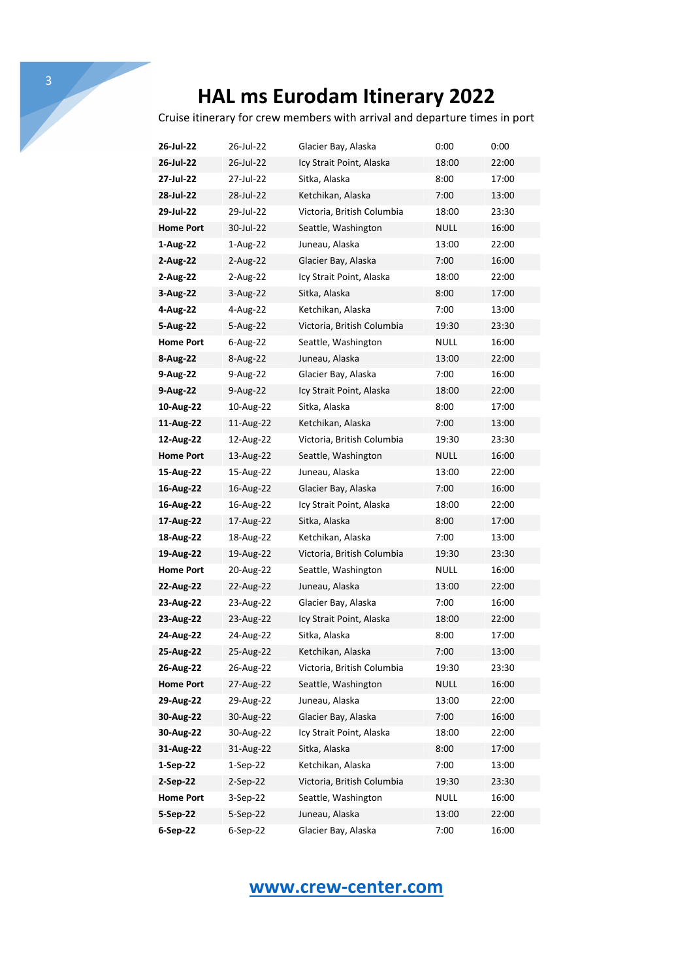Cruise itinerary for crew members with arrival and departure times in port

| 26-Jul-22        | 26-Jul-22  | Glacier Bay, Alaska        | 0:00        | 0:00  |
|------------------|------------|----------------------------|-------------|-------|
| 26-Jul-22        | 26-Jul-22  | Icy Strait Point, Alaska   | 18:00       | 22:00 |
| 27-Jul-22        | 27-Jul-22  | Sitka, Alaska              | 8:00        | 17:00 |
| 28-Jul-22        | 28-Jul-22  | Ketchikan, Alaska          | 7:00        | 13:00 |
| 29-Jul-22        | 29-Jul-22  | Victoria, British Columbia | 18:00       | 23:30 |
| <b>Home Port</b> | 30-Jul-22  | Seattle, Washington        | NULL        | 16:00 |
| 1-Aug-22         | 1-Aug-22   | Juneau, Alaska             | 13:00       | 22:00 |
| 2-Aug-22         | 2-Aug-22   | Glacier Bay, Alaska        | 7:00        | 16:00 |
| 2-Aug-22         | 2-Aug-22   | Icy Strait Point, Alaska   | 18:00       | 22:00 |
| 3-Aug-22         | 3-Aug-22   | Sitka, Alaska              | 8:00        | 17:00 |
| 4-Aug-22         | 4-Aug-22   | Ketchikan, Alaska          | 7:00        | 13:00 |
| 5-Aug-22         | 5-Aug-22   | Victoria, British Columbia | 19:30       | 23:30 |
| <b>Home Port</b> | 6-Aug-22   | Seattle, Washington        | NULL        | 16:00 |
| 8-Aug-22         | 8-Aug-22   | Juneau, Alaska             | 13:00       | 22:00 |
| 9-Aug-22         | 9-Aug-22   | Glacier Bay, Alaska        | 7:00        | 16:00 |
| 9-Aug-22         | 9-Aug-22   | Icy Strait Point, Alaska   | 18:00       | 22:00 |
| 10-Aug-22        | 10-Aug-22  | Sitka, Alaska              | 8:00        | 17:00 |
| 11-Aug-22        | 11-Aug-22  | Ketchikan, Alaska          | 7:00        | 13:00 |
| 12-Aug-22        | 12-Aug-22  | Victoria, British Columbia | 19:30       | 23:30 |
| <b>Home Port</b> | 13-Aug-22  | Seattle, Washington        | <b>NULL</b> | 16:00 |
| 15-Aug-22        | 15-Aug-22  | Juneau, Alaska             | 13:00       | 22:00 |
| 16-Aug-22        | 16-Aug-22  | Glacier Bay, Alaska        | 7:00        | 16:00 |
| 16-Aug-22        | 16-Aug-22  | Icy Strait Point, Alaska   | 18:00       | 22:00 |
| 17-Aug-22        | 17-Aug-22  | Sitka, Alaska              | 8:00        | 17:00 |
| 18-Aug-22        | 18-Aug-22  | Ketchikan, Alaska          | 7:00        | 13:00 |
| 19-Aug-22        | 19-Aug-22  | Victoria, British Columbia | 19:30       | 23:30 |
| <b>Home Port</b> | 20-Aug-22  | Seattle, Washington        | NULL        | 16:00 |
| 22-Aug-22        | 22-Aug-22  | Juneau, Alaska             | 13:00       | 22:00 |
| 23-Aug-22        | 23-Aug-22  | Glacier Bay, Alaska        | 7:00        | 16:00 |
| 23-Aug-22        | 23-Aug-22  | Icy Strait Point, Alaska   | 18:00       | 22:00 |
| 24-Aug-22        | 24-Aug-22  | Sitka, Alaska              | 8:00        | 17:00 |
| 25-Aug-22        | 25-Aug-22  | Ketchikan, Alaska          | 7:00        | 13:00 |
| 26-Aug-22        | 26-Aug-22  | Victoria, British Columbia | 19:30       | 23:30 |
| <b>Home Port</b> | 27-Aug-22  | Seattle, Washington        | <b>NULL</b> | 16:00 |
| 29-Aug-22        | 29-Aug-22  | Juneau, Alaska             | 13:00       | 22:00 |
| 30-Aug-22        | 30-Aug-22  | Glacier Bay, Alaska        | 7:00        | 16:00 |
| 30-Aug-22        | 30-Aug-22  | Icy Strait Point, Alaska   | 18:00       | 22:00 |
| 31-Aug-22        | 31-Aug-22  | Sitka, Alaska              | 8:00        | 17:00 |
| $1-Sep-22$       | $1-Sep-22$ | Ketchikan, Alaska          | 7:00        | 13:00 |
| 2-Sep-22         | $2-Sep-22$ | Victoria, British Columbia | 19:30       | 23:30 |
| <b>Home Port</b> | 3-Sep-22   | Seattle, Washington        | <b>NULL</b> | 16:00 |
| 5-Sep-22         | $5-Sep-22$ | Juneau, Alaska             | 13:00       | 22:00 |
| 6-Sep-22         | 6-Sep-22   | Glacier Bay, Alaska        | 7:00        | 16:00 |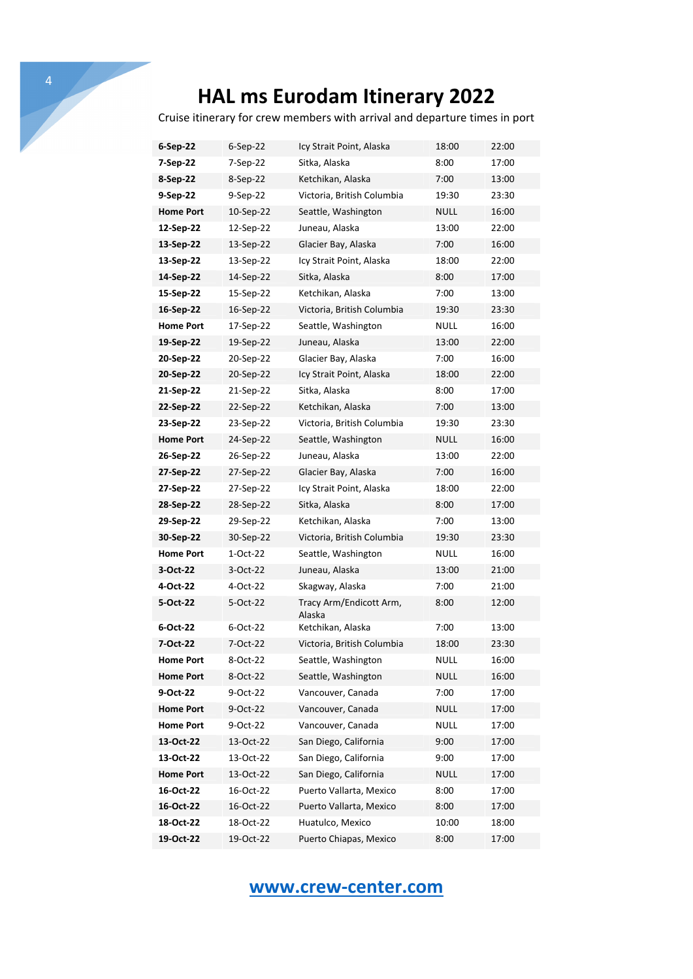Cruise itinerary for crew members with arrival and departure times in port

| 6-Sep-22         | $6-Sep-22$ | Icy Strait Point, Alaska          | 18:00       | 22:00 |
|------------------|------------|-----------------------------------|-------------|-------|
| 7-Sep-22         | 7-Sep-22   | Sitka, Alaska                     | 8:00        | 17:00 |
| 8-Sep-22         | 8-Sep-22   | Ketchikan, Alaska                 | 7:00        | 13:00 |
| 9-Sep-22         | 9-Sep-22   | Victoria, British Columbia        | 19:30       | 23:30 |
| <b>Home Port</b> | 10-Sep-22  | Seattle, Washington               | NULL        | 16:00 |
| 12-Sep-22        | 12-Sep-22  | Juneau, Alaska                    | 13:00       | 22:00 |
| 13-Sep-22        | 13-Sep-22  | Glacier Bay, Alaska               | 7:00        | 16:00 |
| 13-Sep-22        | 13-Sep-22  | Icy Strait Point, Alaska          | 18:00       | 22:00 |
| 14-Sep-22        | 14-Sep-22  | Sitka, Alaska                     | 8:00        | 17:00 |
| 15-Sep-22        | 15-Sep-22  | Ketchikan, Alaska                 | 7:00        | 13:00 |
| 16-Sep-22        | 16-Sep-22  | Victoria, British Columbia        | 19:30       | 23:30 |
| <b>Home Port</b> | 17-Sep-22  | Seattle, Washington               | NULL        | 16:00 |
| 19-Sep-22        | 19-Sep-22  | Juneau, Alaska                    | 13:00       | 22:00 |
| 20-Sep-22        | 20-Sep-22  | Glacier Bay, Alaska               | 7:00        | 16:00 |
| 20-Sep-22        | 20-Sep-22  | Icy Strait Point, Alaska          | 18:00       | 22:00 |
| 21-Sep-22        | 21-Sep-22  | Sitka, Alaska                     | 8:00        | 17:00 |
| 22-Sep-22        | 22-Sep-22  | Ketchikan, Alaska                 | 7:00        | 13:00 |
| 23-Sep-22        | 23-Sep-22  | Victoria, British Columbia        | 19:30       | 23:30 |
| <b>Home Port</b> | 24-Sep-22  | Seattle, Washington               | NULL        | 16:00 |
| 26-Sep-22        | 26-Sep-22  | Juneau, Alaska                    | 13:00       | 22:00 |
| 27-Sep-22        | 27-Sep-22  | Glacier Bay, Alaska               | 7:00        | 16:00 |
| 27-Sep-22        | 27-Sep-22  | Icy Strait Point, Alaska          | 18:00       | 22:00 |
| 28-Sep-22        | 28-Sep-22  | Sitka, Alaska                     | 8:00        | 17:00 |
| 29-Sep-22        | 29-Sep-22  | Ketchikan, Alaska                 | 7:00        | 13:00 |
| 30-Sep-22        | 30-Sep-22  | Victoria, British Columbia        | 19:30       | 23:30 |
| <b>Home Port</b> | 1-Oct-22   | Seattle, Washington               | NULL        | 16:00 |
| 3-Oct-22         | 3-Oct-22   | Juneau, Alaska                    | 13:00       | 21:00 |
| 4-Oct-22         | 4-Oct-22   | Skagway, Alaska                   | 7:00        | 21:00 |
| 5-Oct-22         | 5-Oct-22   | Tracy Arm/Endicott Arm,<br>Alaska | 8:00        | 12:00 |
| 6-Oct-22         | 6-Oct-22   | Ketchikan, Alaska                 | 7:00        | 13:00 |
| 7-Oct-22         | 7-Oct-22   | Victoria, British Columbia        | 18:00       | 23:30 |
| Home Port        | 8-Oct-22   | Seattle, Washington               | <b>NULL</b> | 16:00 |
| <b>Home Port</b> | 8-Oct-22   | Seattle, Washington               | <b>NULL</b> | 16:00 |
| 9-Oct-22         | 9-Oct-22   | Vancouver, Canada                 | 7:00        | 17:00 |
| <b>Home Port</b> | 9-Oct-22   | Vancouver, Canada                 | <b>NULL</b> | 17:00 |
| <b>Home Port</b> | 9-Oct-22   | Vancouver, Canada                 | <b>NULL</b> | 17:00 |
| 13-Oct-22        | 13-Oct-22  | San Diego, California             | 9:00        | 17:00 |
| 13-Oct-22        | 13-Oct-22  | San Diego, California             | 9:00        | 17:00 |
| <b>Home Port</b> | 13-Oct-22  | San Diego, California             | NULL        | 17:00 |
| 16-Oct-22        | 16-Oct-22  | Puerto Vallarta, Mexico           | 8:00        | 17:00 |
| 16-Oct-22        | 16-Oct-22  | Puerto Vallarta, Mexico           | 8:00        | 17:00 |
| 18-Oct-22        | 18-Oct-22  | Huatulco, Mexico                  | 10:00       | 18:00 |
| 19-Oct-22        | 19-Oct-22  | Puerto Chiapas, Mexico            | 8:00        | 17:00 |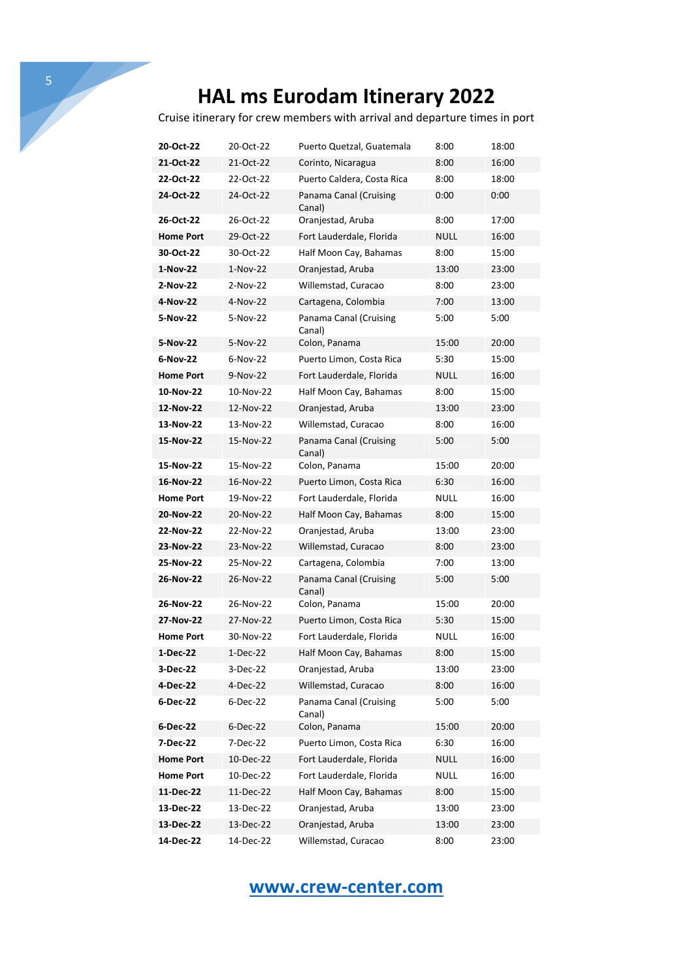Cruise itinerary for crew members with arrival and departure times in port

| 20-Oct-22        | 20-Oct-22   | Puerto Quetzal, Guatemala        | 8:00        | 18:00 |
|------------------|-------------|----------------------------------|-------------|-------|
| 21-Oct-22        | 21-Oct-22   | Corinto, Nicaragua               | 8:00        | 16:00 |
| 22-Oct-22        | 22-Oct-22   | Puerto Caldera, Costa Rica       | 8:00        | 18:00 |
| 24-Oct-22        | 24-Oct-22   | Panama Canal (Cruising<br>Canal) | 0:00        | 0:00  |
| 26-Oct-22        | 26-Oct-22   | Oranjestad, Aruba                | 8:00        | 17:00 |
| <b>Home Port</b> | 29-Oct-22   | Fort Lauderdale, Florida         | NULL        | 16:00 |
| 30-Oct-22        | 30-Oct-22   | Half Moon Cay, Bahamas           | 8:00        | 15:00 |
| 1-Nov-22         | $1-Nov-22$  | Oranjestad, Aruba                | 13:00       | 23:00 |
| 2-Nov-22         | 2-Nov-22    | Willemstad, Curacao              | 8:00        | 23:00 |
| 4-Nov-22         | 4-Nov-22    | Cartagena, Colombia              | 7:00        | 13:00 |
| 5-Nov-22         | 5-Nov-22    | Panama Canal (Cruising<br>Canal) | 5:00        | 5:00  |
| 5-Nov-22         | 5-Nov-22    | Colon, Panama                    | 15:00       | 20:00 |
| 6-Nov-22         | $6-Nov-22$  | Puerto Limon, Costa Rica         | 5:30        | 15:00 |
| <b>Home Port</b> | 9-Nov-22    | Fort Lauderdale, Florida         | NULL        | 16:00 |
| 10-Nov-22        | 10-Nov-22   | Half Moon Cay, Bahamas           | 8:00        | 15:00 |
| 12-Nov-22        | 12-Nov-22   | Oranjestad, Aruba                | 13:00       | 23:00 |
| 13-Nov-22        | 13-Nov-22   | Willemstad, Curacao              | 8:00        | 16:00 |
| 15-Nov-22        | 15-Nov-22   | Panama Canal (Cruising<br>Canal) | 5:00        | 5:00  |
| 15-Nov-22        | 15-Nov-22   | Colon, Panama                    | 15:00       | 20:00 |
| 16-Nov-22        | 16-Nov-22   | Puerto Limon, Costa Rica         | 6:30        | 16:00 |
| <b>Home Port</b> | 19-Nov-22   | Fort Lauderdale, Florida         | NULL        | 16:00 |
| 20-Nov-22        | 20-Nov-22   | Half Moon Cay, Bahamas           | 8:00        | 15:00 |
| 22-Nov-22        | 22-Nov-22   | Oranjestad, Aruba                | 13:00       | 23:00 |
| 23-Nov-22        | 23-Nov-22   | Willemstad, Curacao              | 8:00        | 23:00 |
| 25-Nov-22        | 25-Nov-22   | Cartagena, Colombia              | 7:00        | 13:00 |
| 26-Nov-22        | 26-Nov-22   | Panama Canal (Cruising<br>Canal) | 5:00        | 5:00  |
| 26-Nov-22        | 26-Nov-22   | Colon, Panama                    | 15:00       | 20:00 |
| 27-Nov-22        | 27-Nov-22   | Puerto Limon, Costa Rica         | 5:30        | 15:00 |
| <b>Home Port</b> | 30-Nov-22   | Fort Lauderdale, Florida         | NULL        | 16:00 |
| 1-Dec-22         | 1-Dec-22    | Half Moon Cay, Bahamas           | 8:00        | 15:00 |
| 3-Dec-22         | 3-Dec-22    | Oranjestad, Aruba                | 13:00       | 23:00 |
| 4-Dec-22         | 4-Dec-22    | Willemstad, Curacao              | 8:00        | 16:00 |
| 6-Dec-22         | 6-Dec-22    | Panama Canal (Cruising<br>Canal) | 5:00        | 5:00  |
| 6-Dec-22         | $6$ -Dec-22 | Colon, Panama                    | 15:00       | 20:00 |
| 7-Dec-22         | 7-Dec-22    | Puerto Limon, Costa Rica         | 6:30        | 16:00 |
| <b>Home Port</b> | 10-Dec-22   | Fort Lauderdale, Florida         | <b>NULL</b> | 16:00 |
| <b>Home Port</b> | 10-Dec-22   | Fort Lauderdale, Florida         | <b>NULL</b> | 16:00 |
| 11-Dec-22        | 11-Dec-22   | Half Moon Cay, Bahamas           | 8:00        | 15:00 |
| 13-Dec-22        | 13-Dec-22   | Oranjestad, Aruba                | 13:00       | 23:00 |
| 13-Dec-22        | 13-Dec-22   | Oranjestad, Aruba                | 13:00       | 23:00 |
| 14-Dec-22        | 14-Dec-22   | Willemstad, Curacao              | 8:00        | 23:00 |